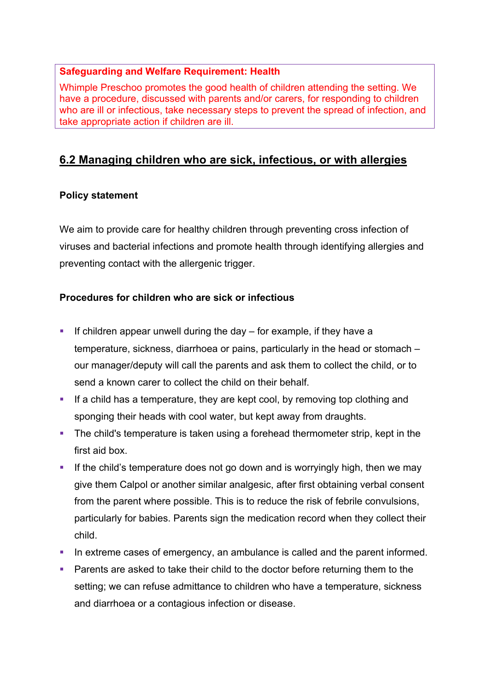## **Safeguarding and Welfare Requirement: Health**

Whimple Preschoo promotes the good health of children attending the setting. We have a procedure, discussed with parents and/or carers, for responding to children who are ill or infectious, take necessary steps to prevent the spread of infection, and take appropriate action if children are ill.

# **6.2 Managing children who are sick, infectious, or with allergies**

## **Policy statement**

We aim to provide care for healthy children through preventing cross infection of viruses and bacterial infections and promote health through identifying allergies and preventing contact with the allergenic trigger.

## **Procedures for children who are sick or infectious**

- **•** If children appear unwell during the day  $-$  for example, if they have a temperature, sickness, diarrhoea or pains, particularly in the head or stomach – our manager/deputy will call the parents and ask them to collect the child, or to send a known carer to collect the child on their behalf.
- If a child has a temperature, they are kept cool, by removing top clothing and sponging their heads with cool water, but kept away from draughts.
- The child's temperature is taken using a forehead thermometer strip, kept in the first aid box.
- **•** If the child's temperature does not go down and is worryingly high, then we may give them Calpol or another similar analgesic, after first obtaining verbal consent from the parent where possible. This is to reduce the risk of febrile convulsions, particularly for babies. Parents sign the medication record when they collect their child.
- In extreme cases of emergency, an ambulance is called and the parent informed.
- **Parents are asked to take their child to the doctor before returning them to the** setting; we can refuse admittance to children who have a temperature, sickness and diarrhoea or a contagious infection or disease.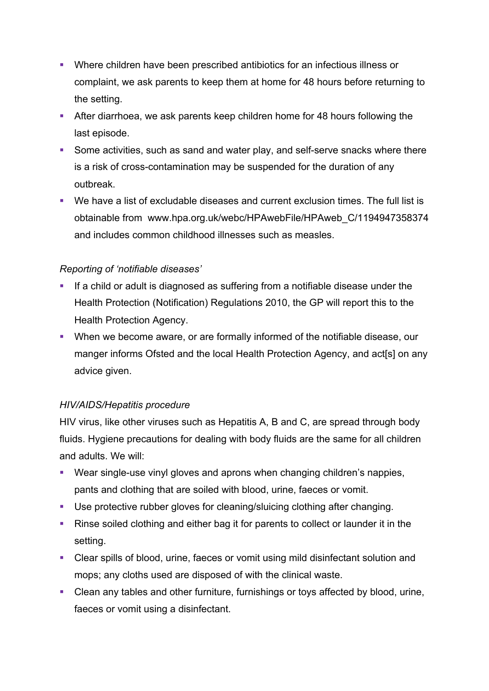- § Where children have been prescribed antibiotics for an infectious illness or complaint, we ask parents to keep them at home for 48 hours before returning to the setting.
- **After diarrhoea, we ask parents keep children home for 48 hours following the** last episode.
- Some activities, such as sand and water play, and self-serve snacks where there is a risk of cross-contamination may be suspended for the duration of any outbreak.
- § We have a list of excludable diseases and current exclusion times. The full list is obtainable from www.hpa.org.uk/webc/HPAwebFile/HPAweb\_C/1194947358374 and includes common childhood illnesses such as measles.

## *Reporting of 'notifiable diseases'*

- If a child or adult is diagnosed as suffering from a notifiable disease under the Health Protection (Notification) Regulations 2010, the GP will report this to the Health Protection Agency.
- § When we become aware, or are formally informed of the notifiable disease, our manger informs Ofsted and the local Health Protection Agency, and act[s] on any advice given.

## *HIV/AIDS/Hepatitis procedure*

HIV virus, like other viruses such as Hepatitis A, B and C, are spread through body fluids. Hygiene precautions for dealing with body fluids are the same for all children and adults. We will:

- Wear single-use vinyl gloves and aprons when changing children's nappies, pants and clothing that are soiled with blood, urine, faeces or vomit.
- Use protective rubber gloves for cleaning/sluicing clothing after changing.
- Rinse soiled clothing and either bag it for parents to collect or launder it in the setting.
- Clear spills of blood, urine, faeces or vomit using mild disinfectant solution and mops; any cloths used are disposed of with the clinical waste.
- Clean any tables and other furniture, furnishings or toys affected by blood, urine, faeces or vomit using a disinfectant.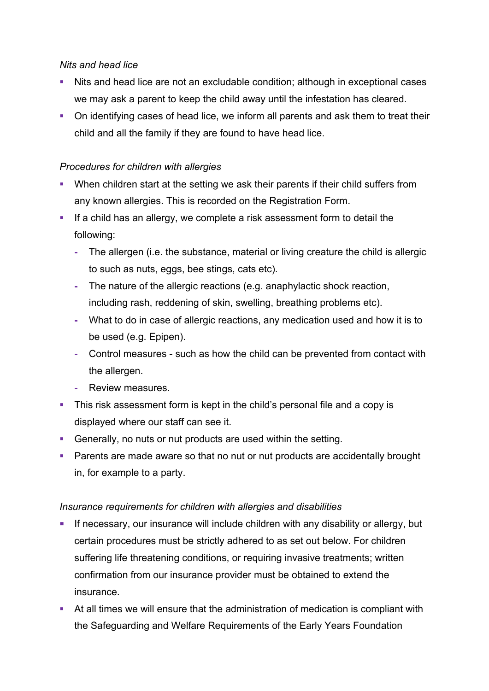#### *Nits and head lice*

- Nits and head lice are not an excludable condition; although in exceptional cases we may ask a parent to keep the child away until the infestation has cleared.
- On identifying cases of head lice, we inform all parents and ask them to treat their child and all the family if they are found to have head lice.

## *Procedures for children with allergies*

- When children start at the setting we ask their parents if their child suffers from any known allergies. This is recorded on the Registration Form.
- **•** If a child has an allergy, we complete a risk assessment form to detail the following:
	- **-** The allergen (i.e. the substance, material or living creature the child is allergic to such as nuts, eggs, bee stings, cats etc).
	- **-** The nature of the allergic reactions (e.g. anaphylactic shock reaction, including rash, reddening of skin, swelling, breathing problems etc).
	- **-** What to do in case of allergic reactions, any medication used and how it is to be used (e.g. Epipen).
	- **-** Control measures such as how the child can be prevented from contact with the allergen.
	- **-** Review measures.
- This risk assessment form is kept in the child's personal file and a copy is displayed where our staff can see it.
- § Generally, no nuts or nut products are used within the setting.
- Parents are made aware so that no nut or nut products are accidentally brought in, for example to a party.

## *Insurance requirements for children with allergies and disabilities*

- **If necessary, our insurance will include children with any disability or allergy, but** certain procedures must be strictly adhered to as set out below. For children suffering life threatening conditions, or requiring invasive treatments; written confirmation from our insurance provider must be obtained to extend the insurance.
- At all times we will ensure that the administration of medication is compliant with the Safeguarding and Welfare Requirements of the Early Years Foundation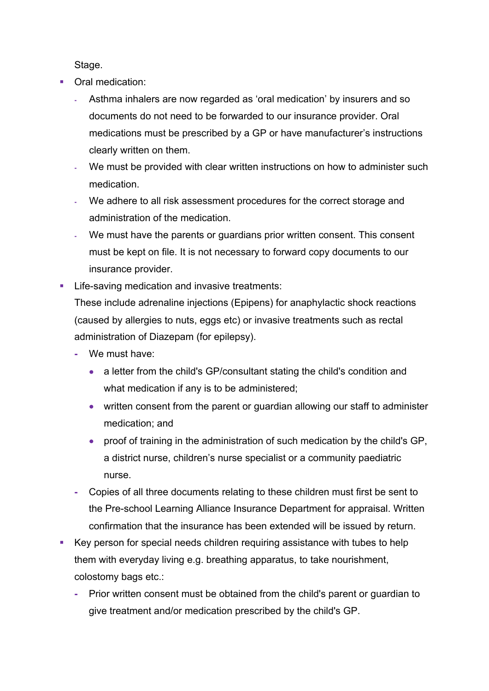Stage.

- Oral medication:
	- **-** Asthma inhalers are now regarded as 'oral medication' by insurers and so documents do not need to be forwarded to our insurance provider. Oral medications must be prescribed by a GP or have manufacturer's instructions clearly written on them.
	- **-** We must be provided with clear written instructions on how to administer such medication.
	- **-** We adhere to all risk assessment procedures for the correct storage and administration of the medication.
	- **-** We must have the parents or guardians prior written consent. This consent must be kept on file. It is not necessary to forward copy documents to our insurance provider.
- Life-saving medication and invasive treatments:

These include adrenaline injections (Epipens) for anaphylactic shock reactions (caused by allergies to nuts, eggs etc) or invasive treatments such as rectal administration of Diazepam (for epilepsy).

- **-** We must have:
	- a letter from the child's GP/consultant stating the child's condition and what medication if any is to be administered;
	- written consent from the parent or guardian allowing our staff to administer medication; and
	- proof of training in the administration of such medication by the child's GP, a district nurse, children's nurse specialist or a community paediatric nurse.
- **-** Copies of all three documents relating to these children must first be sent to the Pre-school Learning Alliance Insurance Department for appraisal. Written confirmation that the insurance has been extended will be issued by return.
- Key person for special needs children requiring assistance with tubes to help them with everyday living e.g. breathing apparatus, to take nourishment, colostomy bags etc.:
	- **-** Prior written consent must be obtained from the child's parent or guardian to give treatment and/or medication prescribed by the child's GP.